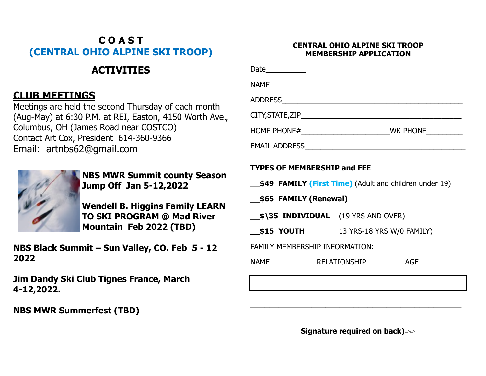## **C O A S T (CENTRAL OHIO ALPINE SKI TROOP)**

# **ACTIVITIES**

### **CLUB MEETINGS**

Meetings are held the second Thursday of each month (Aug-May) at 6:30 P.M. at REI, Easton, 4150 Worth Ave., Columbus, OH (James Road near COSTCO) Contact Art Cox, President 614-360-9366 Email: artnbs62@gmail.com



**NBS MWR Summit county Season Jump Off Jan 5-12,2022**

**Wendell B. Higgins Family LEARN TO SKI PROGRAM @ Mad River Mountain Feb 2022 (TBD)**

**NBS Black Summit – Sun Valley, CO. Feb 5 - 12 2022**

**Jim Dandy Ski Club Tignes France, March 4-12,2022.**

**NBS MWR Summerfest (TBD)**

### **CENTRAL OHIO ALPINE SKI TROOP MEMBERSHIP APPLICATION**

| NAME                                                                                                                           |  |  |
|--------------------------------------------------------------------------------------------------------------------------------|--|--|
|                                                                                                                                |  |  |
|                                                                                                                                |  |  |
|                                                                                                                                |  |  |
|                                                                                                                                |  |  |
| <b>TYPES OF MEMBERSHIP and FEE</b><br><b>\$49 FAMILY (First Time)</b> (Adult and children under 19)<br>__\$65 FAMILY (Renewal) |  |  |

**\_\_\$\35 INDIVIDUAL** (19 YRS AND OVER)

**\_\_\$15 YOUTH** 13 YRS-18 YRS W/0 FAMILY)

FAMILY MEMBERSHIP INFORMATION:

|  | NAME | <b>RELATIONSHIP</b> | <b>AGE</b> |
|--|------|---------------------|------------|
|--|------|---------------------|------------|

**Signature required on back)** 

**\_\_\_\_\_\_\_\_\_\_\_\_\_\_\_\_\_\_\_\_\_\_\_\_\_\_\_\_\_\_\_\_\_\_\_\_\_\_\_\_\_\_\_\_\_**